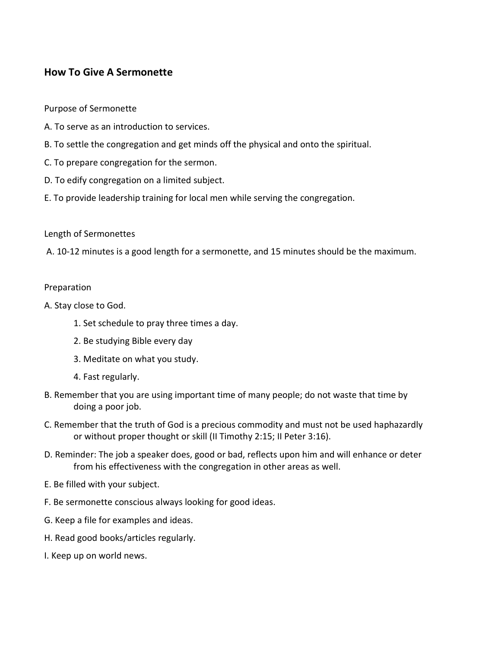# How To Give A Sermonette

Purpose of Sermonette

- A. To serve as an introduction to services.
- B. To settle the congregation and get minds off the physical and onto the spiritual.
- C. To prepare congregation for the sermon.
- D. To edify congregation on a limited subject.
- E. To provide leadership training for local men while serving the congregation.

#### Length of Sermonettes

A. 10-12 minutes is a good length for a sermonette, and 15 minutes should be the maximum.

#### Preparation

A. Stay close to God.

- 1. Set schedule to pray three times a day.
- 2. Be studying Bible every day
- 3. Meditate on what you study.
- 4. Fast regularly.
- B. Remember that you are using important time of many people; do not waste that time by doing a poor job.
- C. Remember that the truth of God is a precious commodity and must not be used haphazardly or without proper thought or skill (II Timothy 2:15; II Peter 3:16).
- D. Reminder: The job a speaker does, good or bad, reflects upon him and will enhance or deter from his effectiveness with the congregation in other areas as well.
- E. Be filled with your subject.
- F. Be sermonette conscious always looking for good ideas.
- G. Keep a file for examples and ideas.
- H. Read good books/articles regularly.
- I. Keep up on world news.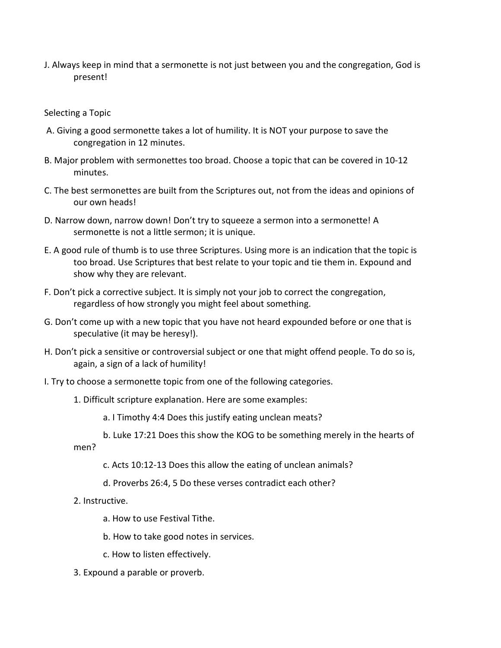J. Always keep in mind that a sermonette is not just between you and the congregation, God is present!

Selecting a Topic

- A. Giving a good sermonette takes a lot of humility. It is NOT your purpose to save the congregation in 12 minutes.
- B. Major problem with sermonettes too broad. Choose a topic that can be covered in 10-12 minutes.
- C. The best sermonettes are built from the Scriptures out, not from the ideas and opinions of our own heads!
- D. Narrow down, narrow down! Don't try to squeeze a sermon into a sermonette! A sermonette is not a little sermon; it is unique.
- E. A good rule of thumb is to use three Scriptures. Using more is an indication that the topic is too broad. Use Scriptures that best relate to your topic and tie them in. Expound and show why they are relevant.
- F. Don't pick a corrective subject. It is simply not your job to correct the congregation, regardless of how strongly you might feel about something.
- G. Don't come up with a new topic that you have not heard expounded before or one that is speculative (it may be heresy!).
- H. Don't pick a sensitive or controversial subject or one that might offend people. To do so is, again, a sign of a lack of humility!
- I. Try to choose a sermonette topic from one of the following categories.
	- 1. Difficult scripture explanation. Here are some examples:

a. I Timothy 4:4 Does this justify eating unclean meats?

- b. Luke 17:21 Does this show the KOG to be something merely in the hearts of men?
	- c. Acts 10:12-13 Does this allow the eating of unclean animals?
	- d. Proverbs 26:4, 5 Do these verses contradict each other?
- 2. Instructive.
	- a. How to use Festival Tithe.
	- b. How to take good notes in services.
	- c. How to listen effectively.
- 3. Expound a parable or proverb.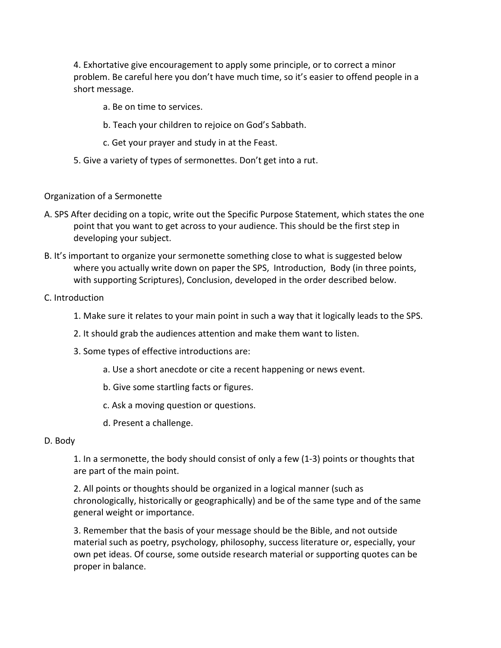4. Exhortative give encouragement to apply some principle, or to correct a minor problem. Be careful here you don't have much time, so it's easier to offend people in a short message.

- a. Be on time to services.
- b. Teach your children to rejoice on God's Sabbath.
- c. Get your prayer and study in at the Feast.
- 5. Give a variety of types of sermonettes. Don't get into a rut.

### Organization of a Sermonette

- A. SPS After deciding on a topic, write out the Specific Purpose Statement, which states the one point that you want to get across to your audience. This should be the first step in developing your subject.
- B. It's important to organize your sermonette something close to what is suggested below where you actually write down on paper the SPS, Introduction, Body (in three points, with supporting Scriptures), Conclusion, developed in the order described below.

### C. Introduction

- 1. Make sure it relates to your main point in such a way that it logically leads to the SPS.
- 2. It should grab the audiences attention and make them want to listen.
- 3. Some types of effective introductions are:
	- a. Use a short anecdote or cite a recent happening or news event.
	- b. Give some startling facts or figures.
	- c. Ask a moving question or questions.
	- d. Present a challenge.

#### D. Body

1. In a sermonette, the body should consist of only a few (1-3) points or thoughts that are part of the main point.

2. All points or thoughts should be organized in a logical manner (such as chronologically, historically or geographically) and be of the same type and of the same general weight or importance.

3. Remember that the basis of your message should be the Bible, and not outside material such as poetry, psychology, philosophy, success literature or, especially, your own pet ideas. Of course, some outside research material or supporting quotes can be proper in balance.